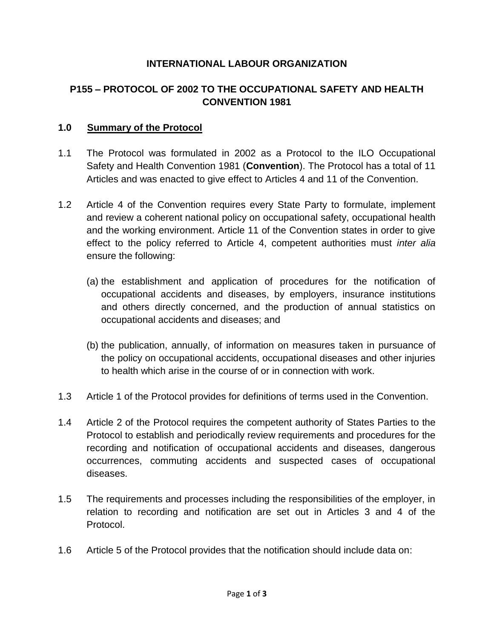### **INTERNATIONAL LABOUR ORGANIZATION**

# **P155 – PROTOCOL OF 2002 TO THE OCCUPATIONAL SAFETY AND HEALTH CONVENTION 1981**

#### **1.0 Summary of the Protocol**

- 1.1 The Protocol was formulated in 2002 as a Protocol to the ILO Occupational Safety and Health Convention 1981 (**Convention**). The Protocol has a total of 11 Articles and was enacted to give effect to Articles 4 and 11 of the Convention.
- 1.2 Article 4 of the Convention requires every State Party to formulate, implement and review a coherent national policy on occupational safety, occupational health and the working environment. Article 11 of the Convention states in order to give effect to the policy referred to Article 4, competent authorities must *inter alia* ensure the following:
	- (a) the establishment and application of procedures for the notification of occupational accidents and diseases, by employers, insurance institutions and others directly concerned, and the production of annual statistics on occupational accidents and diseases; and
	- (b) the publication, annually, of information on measures taken in pursuance of the policy on occupational accidents, occupational diseases and other injuries to health which arise in the course of or in connection with work.
- 1.3 Article 1 of the Protocol provides for definitions of terms used in the Convention.
- 1.4 Article 2 of the Protocol requires the competent authority of States Parties to the Protocol to establish and periodically review requirements and procedures for the recording and notification of occupational accidents and diseases, dangerous occurrences, commuting accidents and suspected cases of occupational diseases.
- 1.5 The requirements and processes including the responsibilities of the employer, in relation to recording and notification are set out in Articles 3 and 4 of the Protocol.
- 1.6 Article 5 of the Protocol provides that the notification should include data on: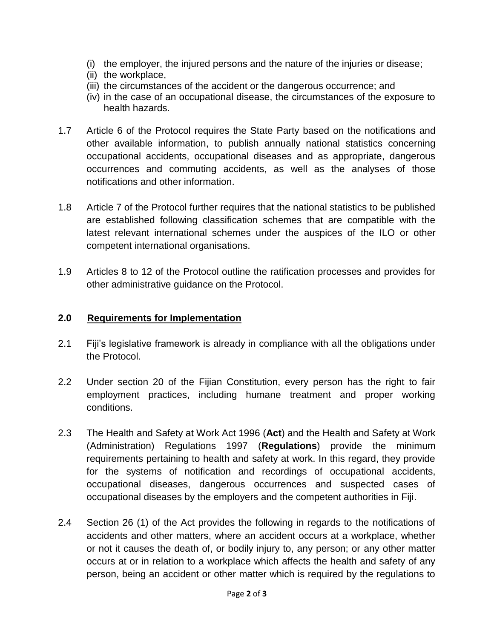- (i) the employer, the injured persons and the nature of the injuries or disease;
- (ii) the workplace,
- (iii) the circumstances of the accident or the dangerous occurrence; and
- (iv) in the case of an occupational disease, the circumstances of the exposure to health hazards.
- 1.7 Article 6 of the Protocol requires the State Party based on the notifications and other available information, to publish annually national statistics concerning occupational accidents, occupational diseases and as appropriate, dangerous occurrences and commuting accidents, as well as the analyses of those notifications and other information.
- 1.8 Article 7 of the Protocol further requires that the national statistics to be published are established following classification schemes that are compatible with the latest relevant international schemes under the auspices of the ILO or other competent international organisations.
- 1.9 Articles 8 to 12 of the Protocol outline the ratification processes and provides for other administrative guidance on the Protocol.

### **2.0 Requirements for Implementation**

- 2.1 Fiji's legislative framework is already in compliance with all the obligations under the Protocol.
- 2.2 Under section 20 of the Fijian Constitution, every person has the right to fair employment practices, including humane treatment and proper working conditions.
- 2.3 The Health and Safety at Work Act 1996 (**Act**) and the Health and Safety at Work (Administration) Regulations 1997 (**Regulations**) provide the minimum requirements pertaining to health and safety at work. In this regard, they provide for the systems of notification and recordings of occupational accidents, occupational diseases, dangerous occurrences and suspected cases of occupational diseases by the employers and the competent authorities in Fiji.
- 2.4 Section 26 (1) of the Act provides the following in regards to the notifications of accidents and other matters, where an accident occurs at a workplace, whether or not it causes the death of, or bodily injury to, any person; or any other matter occurs at or in relation to a workplace which affects the health and safety of any person, being an accident or other matter which is required by the regulations to